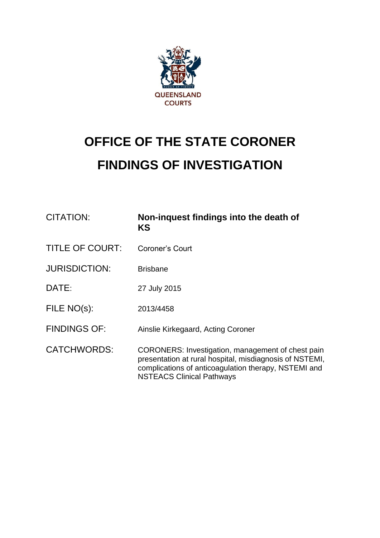

# **OFFICE OF THE STATE CORONER FINDINGS OF INVESTIGATION**

| <b>CITATION:</b>       | Non-inquest findings into the death of<br>KS                                                                                                                                                             |
|------------------------|----------------------------------------------------------------------------------------------------------------------------------------------------------------------------------------------------------|
| <b>TITLE OF COURT:</b> | Coroner's Court                                                                                                                                                                                          |
| <b>JURISDICTION:</b>   | <b>Brisbane</b>                                                                                                                                                                                          |
| DATE:                  | 27 July 2015                                                                                                                                                                                             |
| FILE NO(s):            | 2013/4458                                                                                                                                                                                                |
| <b>FINDINGS OF:</b>    | Ainslie Kirkegaard, Acting Coroner                                                                                                                                                                       |
| <b>CATCHWORDS:</b>     | CORONERS: Investigation, management of chest pain<br>presentation at rural hospital, misdiagnosis of NSTEMI,<br>complications of anticoagulation therapy, NSTEMI and<br><b>NSTEACS Clinical Pathways</b> |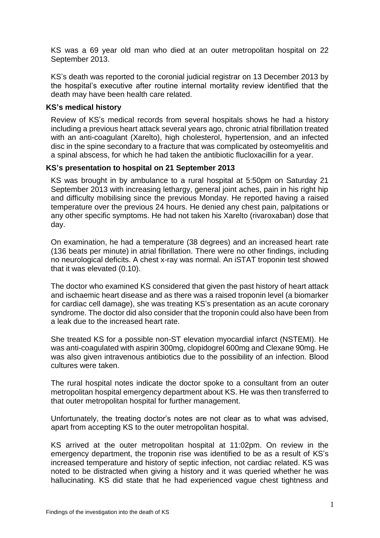KS was a 69 year old man who died at an outer metropolitan hospital on 22 September 2013.

KS's death was reported to the coronial judicial registrar on 13 December 2013 by the hospital's executive after routine internal mortality review identified that the death may have been health care related.

#### **KS's medical history**

Review of KS's medical records from several hospitals shows he had a history including a previous heart attack several years ago, chronic atrial fibrillation treated with an anti-coagulant (Xarelto), high cholesterol, hypertension, and an infected disc in the spine secondary to a fracture that was complicated by osteomyelitis and a spinal abscess, for which he had taken the antibiotic flucloxacillin for a year.

# **KS's presentation to hospital on 21 September 2013**

KS was brought in by ambulance to a rural hospital at 5:50pm on Saturday 21 September 2013 with increasing lethargy, general joint aches, pain in his right hip and difficulty mobilising since the previous Monday. He reported having a raised temperature over the previous 24 hours. He denied any chest pain, palpitations or any other specific symptoms. He had not taken his Xarelto (rivaroxaban) dose that day.

On examination, he had a temperature (38 degrees) and an increased heart rate (136 beats per minute) in atrial fibrillation. There were no other findings, including no neurological deficits. A chest x-ray was normal. An iSTAT troponin test showed that it was elevated (0.10).

The doctor who examined KS considered that given the past history of heart attack and ischaemic heart disease and as there was a raised troponin level (a biomarker for cardiac cell damage), she was treating KS's presentation as an acute coronary syndrome. The doctor did also consider that the troponin could also have been from a leak due to the increased heart rate.

She treated KS for a possible non-ST elevation myocardial infarct (NSTEMI). He was anti-coagulated with aspirin 300mg, clopidogrel 600mg and Clexane 90mg. He was also given intravenous antibiotics due to the possibility of an infection. Blood cultures were taken.

The rural hospital notes indicate the doctor spoke to a consultant from an outer metropolitan hospital emergency department about KS. He was then transferred to that outer metropolitan hospital for further management.

Unfortunately, the treating doctor's notes are not clear as to what was advised, apart from accepting KS to the outer metropolitan hospital.

KS arrived at the outer metropolitan hospital at 11:02pm. On review in the emergency department, the troponin rise was identified to be as a result of KS's increased temperature and history of septic infection, not cardiac related. KS was noted to be distracted when giving a history and it was queried whether he was hallucinating. KS did state that he had experienced vague chest tightness and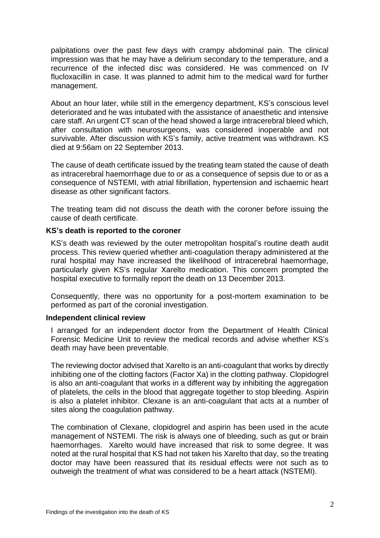palpitations over the past few days with crampy abdominal pain. The clinical impression was that he may have a delirium secondary to the temperature, and a recurrence of the infected disc was considered. He was commenced on IV flucloxacillin in case. It was planned to admit him to the medical ward for further management.

About an hour later, while still in the emergency department, KS's conscious level deteriorated and he was intubated with the assistance of anaesthetic and intensive care staff. An urgent CT scan of the head showed a large intracerebral bleed which, after consultation with neurosurgeons, was considered inoperable and not survivable. After discussion with KS's family, active treatment was withdrawn. KS died at 9:56am on 22 September 2013.

The cause of death certificate issued by the treating team stated the cause of death as intracerebral haemorrhage due to or as a consequence of sepsis due to or as a consequence of NSTEMI, with atrial fibrillation, hypertension and ischaemic heart disease as other significant factors.

The treating team did not discuss the death with the coroner before issuing the cause of death certificate.

#### **KS's death is reported to the coroner**

KS's death was reviewed by the outer metropolitan hospital's routine death audit process. This review queried whether anti-coagulation therapy administered at the rural hospital may have increased the likelihood of intracerebral haemorrhage, particularly given KS's regular Xarelto medication. This concern prompted the hospital executive to formally report the death on 13 December 2013.

Consequently, there was no opportunity for a post-mortem examination to be performed as part of the coronial investigation.

#### **Independent clinical review**

I arranged for an independent doctor from the Department of Health Clinical Forensic Medicine Unit to review the medical records and advise whether KS's death may have been preventable.

The reviewing doctor advised that Xarelto is an anti-coagulant that works by directly inhibiting one of the clotting factors (Factor Xa) in the clotting pathway. Clopidogrel is also an anti-coagulant that works in a different way by inhibiting the aggregation of platelets, the cells in the blood that aggregate together to stop bleeding. Aspirin is also a platelet inhibitor. Clexane is an anti-coagulant that acts at a number of sites along the coagulation pathway.

The combination of Clexane, clopidogrel and aspirin has been used in the acute management of NSTEMI. The risk is always one of bleeding, such as gut or brain haemorrhages. Xarelto would have increased that risk to some degree. It was noted at the rural hospital that KS had not taken his Xarelto that day, so the treating doctor may have been reassured that its residual effects were not such as to outweigh the treatment of what was considered to be a heart attack (NSTEMI).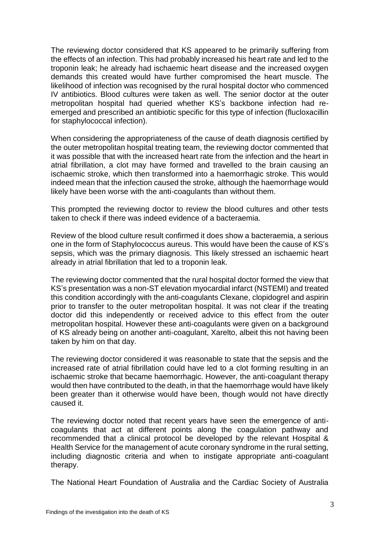The reviewing doctor considered that KS appeared to be primarily suffering from the effects of an infection. This had probably increased his heart rate and led to the troponin leak; he already had ischaemic heart disease and the increased oxygen demands this created would have further compromised the heart muscle. The likelihood of infection was recognised by the rural hospital doctor who commenced IV antibiotics. Blood cultures were taken as well. The senior doctor at the outer metropolitan hospital had queried whether KS's backbone infection had reemerged and prescribed an antibiotic specific for this type of infection (flucloxacillin for staphylococcal infection).

When considering the appropriateness of the cause of death diagnosis certified by the outer metropolitan hospital treating team, the reviewing doctor commented that it was possible that with the increased heart rate from the infection and the heart in atrial fibrillation, a clot may have formed and travelled to the brain causing an ischaemic stroke, which then transformed into a haemorrhagic stroke. This would indeed mean that the infection caused the stroke, although the haemorrhage would likely have been worse with the anti-coagulants than without them.

This prompted the reviewing doctor to review the blood cultures and other tests taken to check if there was indeed evidence of a bacteraemia.

Review of the blood culture result confirmed it does show a bacteraemia, a serious one in the form of Staphylococcus aureus. This would have been the cause of KS's sepsis, which was the primary diagnosis. This likely stressed an ischaemic heart already in atrial fibrillation that led to a troponin leak.

The reviewing doctor commented that the rural hospital doctor formed the view that KS's presentation was a non-ST elevation myocardial infarct (NSTEMI) and treated this condition accordingly with the anti-coagulants Clexane, clopidogrel and aspirin prior to transfer to the outer metropolitan hospital. It was not clear if the treating doctor did this independently or received advice to this effect from the outer metropolitan hospital. However these anti-coagulants were given on a background of KS already being on another anti-coagulant, Xarelto, albeit this not having been taken by him on that day.

The reviewing doctor considered it was reasonable to state that the sepsis and the increased rate of atrial fibrillation could have led to a clot forming resulting in an ischaemic stroke that became haemorrhagic. However, the anti-coagulant therapy would then have contributed to the death, in that the haemorrhage would have likely been greater than it otherwise would have been, though would not have directly caused it.

The reviewing doctor noted that recent years have seen the emergence of anticoagulants that act at different points along the coagulation pathway and recommended that a clinical protocol be developed by the relevant Hospital & Health Service for the management of acute coronary syndrome in the rural setting, including diagnostic criteria and when to instigate appropriate anti-coagulant therapy.

The National Heart Foundation of Australia and the Cardiac Society of Australia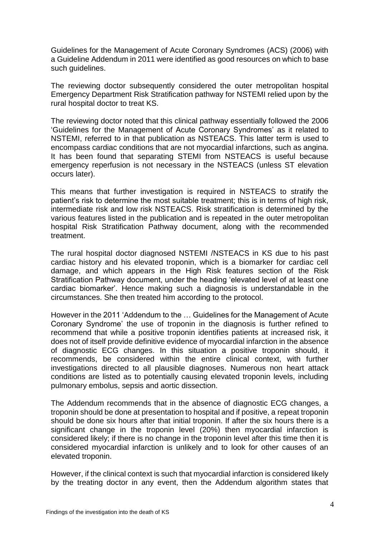Guidelines for the Management of Acute Coronary Syndromes (ACS) (2006) with a Guideline Addendum in 2011 were identified as good resources on which to base such guidelines.

The reviewing doctor subsequently considered the outer metropolitan hospital Emergency Department Risk Stratification pathway for NSTEMI relied upon by the rural hospital doctor to treat KS.

The reviewing doctor noted that this clinical pathway essentially followed the 2006 'Guidelines for the Management of Acute Coronary Syndromes' as it related to NSTEMI, referred to in that publication as NSTEACS. This latter term is used to encompass cardiac conditions that are not myocardial infarctions, such as angina. It has been found that separating STEMI from NSTEACS is useful because emergency reperfusion is not necessary in the NSTEACS (unless ST elevation occurs later).

This means that further investigation is required in NSTEACS to stratify the patient's risk to determine the most suitable treatment; this is in terms of high risk. intermediate risk and low risk NSTEACS. Risk stratification is determined by the various features listed in the publication and is repeated in the outer metropolitan hospital Risk Stratification Pathway document, along with the recommended treatment.

The rural hospital doctor diagnosed NSTEMI /NSTEACS in KS due to his past cardiac history and his elevated troponin, which is a biomarker for cardiac cell damage, and which appears in the High Risk features section of the Risk Stratification Pathway document, under the heading 'elevated level of at least one cardiac biomarker'. Hence making such a diagnosis is understandable in the circumstances. She then treated him according to the protocol.

However in the 2011 'Addendum to the … Guidelines for the Management of Acute Coronary Syndrome' the use of troponin in the diagnosis is further refined to recommend that while a positive troponin identifies patients at increased risk, it does not of itself provide definitive evidence of myocardial infarction in the absence of diagnostic ECG changes. In this situation a positive troponin should, it recommends, be considered within the entire clinical context, with further investigations directed to all plausible diagnoses. Numerous non heart attack conditions are listed as to potentially causing elevated troponin levels, including pulmonary embolus, sepsis and aortic dissection.

The Addendum recommends that in the absence of diagnostic ECG changes, a troponin should be done at presentation to hospital and if positive, a repeat troponin should be done six hours after that initial troponin. If after the six hours there is a significant change in the troponin level (20%) then myocardial infarction is considered likely; if there is no change in the troponin level after this time then it is considered myocardial infarction is unlikely and to look for other causes of an elevated troponin.

However, if the clinical context is such that myocardial infarction is considered likely by the treating doctor in any event, then the Addendum algorithm states that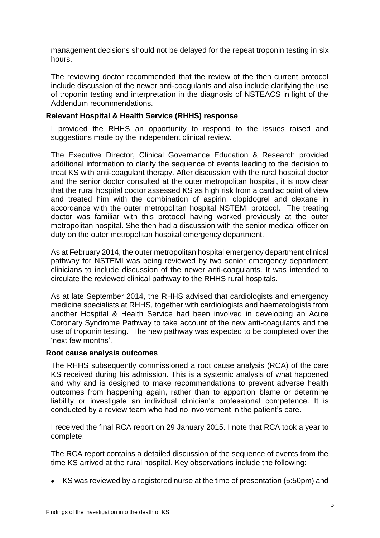management decisions should not be delayed for the repeat troponin testing in six hours.

The reviewing doctor recommended that the review of the then current protocol include discussion of the newer anti-coagulants and also include clarifying the use of troponin testing and interpretation in the diagnosis of NSTEACS in light of the Addendum recommendations.

# **Relevant Hospital & Health Service (RHHS) response**

I provided the RHHS an opportunity to respond to the issues raised and suggestions made by the independent clinical review.

The Executive Director, Clinical Governance Education & Research provided additional information to clarify the sequence of events leading to the decision to treat KS with anti-coagulant therapy. After discussion with the rural hospital doctor and the senior doctor consulted at the outer metropolitan hospital, it is now clear that the rural hospital doctor assessed KS as high risk from a cardiac point of view and treated him with the combination of aspirin, clopidogrel and clexane in accordance with the outer metropolitan hospital NSTEMI protocol. The treating doctor was familiar with this protocol having worked previously at the outer metropolitan hospital. She then had a discussion with the senior medical officer on duty on the outer metropolitan hospital emergency department.

As at February 2014, the outer metropolitan hospital emergency department clinical pathway for NSTEMI was being reviewed by two senior emergency department clinicians to include discussion of the newer anti-coagulants. It was intended to circulate the reviewed clinical pathway to the RHHS rural hospitals.

As at late September 2014, the RHHS advised that cardiologists and emergency medicine specialists at RHHS, together with cardiologists and haematologists from another Hospital & Health Service had been involved in developing an Acute Coronary Syndrome Pathway to take account of the new anti-coagulants and the use of troponin testing. The new pathway was expected to be completed over the 'next few months'.

# **Root cause analysis outcomes**

The RHHS subsequently commissioned a root cause analysis (RCA) of the care KS received during his admission. This is a systemic analysis of what happened and why and is designed to make recommendations to prevent adverse health outcomes from happening again, rather than to apportion blame or determine liability or investigate an individual clinician's professional competence. It is conducted by a review team who had no involvement in the patient's care.

I received the final RCA report on 29 January 2015. I note that RCA took a year to complete.

The RCA report contains a detailed discussion of the sequence of events from the time KS arrived at the rural hospital. Key observations include the following:

KS was reviewed by a registered nurse at the time of presentation (5:50pm) and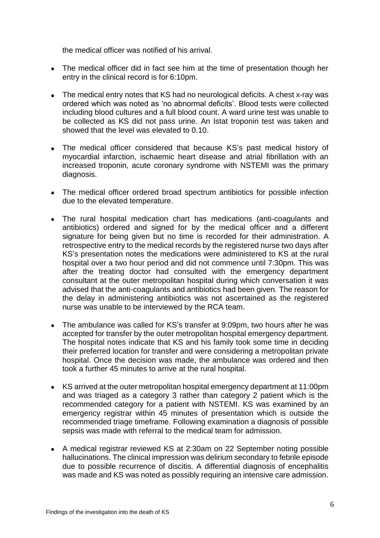the medical officer was notified of his arrival.

- The medical officer did in fact see him at the time of presentation though her entry in the clinical record is for 6:10pm.
- The medical entry notes that KS had no neurological deficits. A chest x-ray was ordered which was noted as 'no abnormal deficits'. Blood tests were collected including blood cultures and a full blood count. A ward urine test was unable to be collected as KS did not pass urine. An Istat troponin test was taken and showed that the level was elevated to 0.10.
- The medical officer considered that because KS's past medical history of myocardial infarction, ischaemic heart disease and atrial fibrillation with an increased troponin, acute coronary syndrome with NSTEMI was the primary diagnosis.
- The medical officer ordered broad spectrum antibiotics for possible infection due to the elevated temperature.
- The rural hospital medication chart has medications (anti-coagulants and antibiotics) ordered and signed for by the medical officer and a different signature for being given but no time is recorded for their administration. A retrospective entry to the medical records by the registered nurse two days after KS's presentation notes the medications were administered to KS at the rural hospital over a two hour period and did not commence until 7:30pm. This was after the treating doctor had consulted with the emergency department consultant at the outer metropolitan hospital during which conversation it was advised that the anti-coagulants and antibiotics had been given. The reason for the delay in administering antibiotics was not ascertained as the registered nurse was unable to be interviewed by the RCA team.
- The ambulance was called for KS's transfer at 9:09pm, two hours after he was accepted for transfer by the outer metropolitan hospital emergency department. The hospital notes indicate that KS and his family took some time in deciding their preferred location for transfer and were considering a metropolitan private hospital. Once the decision was made, the ambulance was ordered and then took a further 45 minutes to arrive at the rural hospital.
- KS arrived at the outer metropolitan hospital emergency department at 11:00pm and was triaged as a category 3 rather than category 2 patient which is the recommended category for a patient with NSTEMI. KS was examined by an emergency registrar within 45 minutes of presentation which is outside the recommended triage timeframe. Following examination a diagnosis of possible sepsis was made with referral to the medical team for admission.
- A medical registrar reviewed KS at 2:30am on 22 September noting possible hallucinations. The clinical impression was delirium secondary to febrile episode due to possible recurrence of discitis. A differential diagnosis of encephalitis was made and KS was noted as possibly requiring an intensive care admission.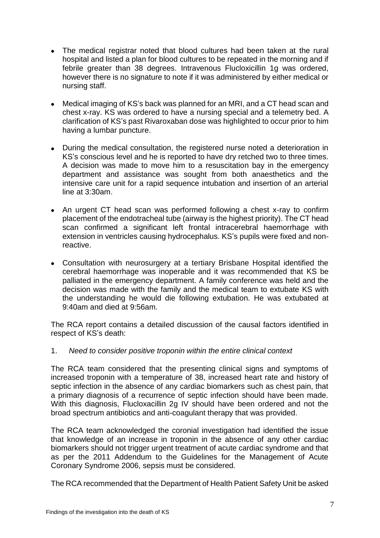- The medical registrar noted that blood cultures had been taken at the rural hospital and listed a plan for blood cultures to be repeated in the morning and if febrile greater than 38 degrees. Intravenous Flucloxicillin 1g was ordered, however there is no signature to note if it was administered by either medical or nursing staff.
- Medical imaging of KS's back was planned for an MRI, and a CT head scan and chest x-ray. KS was ordered to have a nursing special and a telemetry bed. A clarification of KS's past Rivaroxaban dose was highlighted to occur prior to him having a lumbar puncture.
- During the medical consultation, the registered nurse noted a deterioration in KS's conscious level and he is reported to have dry retched two to three times. A decision was made to move him to a resuscitation bay in the emergency department and assistance was sought from both anaesthetics and the intensive care unit for a rapid sequence intubation and insertion of an arterial line at 3:30am.
- An urgent CT head scan was performed following a chest x-ray to confirm placement of the endotracheal tube (airway is the highest priority). The CT head scan confirmed a significant left frontal intracerebral haemorrhage with extension in ventricles causing hydrocephalus. KS's pupils were fixed and nonreactive.
- Consultation with neurosurgery at a tertiary Brisbane Hospital identified the cerebral haemorrhage was inoperable and it was recommended that KS be palliated in the emergency department. A family conference was held and the decision was made with the family and the medical team to extubate KS with the understanding he would die following extubation. He was extubated at 9:40am and died at 9:56am.

The RCA report contains a detailed discussion of the causal factors identified in respect of KS's death:

1. *Need to consider positive troponin within the entire clinical context*

The RCA team considered that the presenting clinical signs and symptoms of increased troponin with a temperature of 38, increased heart rate and history of septic infection in the absence of any cardiac biomarkers such as chest pain, that a primary diagnosis of a recurrence of septic infection should have been made. With this diagnosis, Flucloxacillin 2g IV should have been ordered and not the broad spectrum antibiotics and anti-coagulant therapy that was provided.

The RCA team acknowledged the coronial investigation had identified the issue that knowledge of an increase in troponin in the absence of any other cardiac biomarkers should not trigger urgent treatment of acute cardiac syndrome and that as per the 2011 Addendum to the Guidelines for the Management of Acute Coronary Syndrome 2006, sepsis must be considered.

The RCA recommended that the Department of Health Patient Safety Unit be asked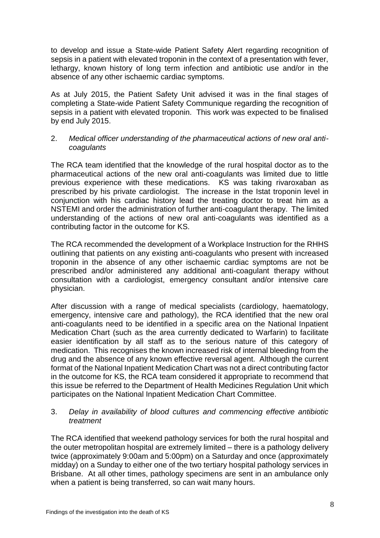to develop and issue a State-wide Patient Safety Alert regarding recognition of sepsis in a patient with elevated troponin in the context of a presentation with fever, lethargy, known history of long term infection and antibiotic use and/or in the absence of any other ischaemic cardiac symptoms.

As at July 2015, the Patient Safety Unit advised it was in the final stages of completing a State-wide Patient Safety Communique regarding the recognition of sepsis in a patient with elevated troponin. This work was expected to be finalised by end July 2015.

#### 2. *Medical officer understanding of the pharmaceutical actions of new oral anticoagulants*

The RCA team identified that the knowledge of the rural hospital doctor as to the pharmaceutical actions of the new oral anti-coagulants was limited due to little previous experience with these medications. KS was taking rivaroxaban as prescribed by his private cardiologist. The increase in the Istat troponin level in conjunction with his cardiac history lead the treating doctor to treat him as a NSTEMI and order the administration of further anti-coagulant therapy. The limited understanding of the actions of new oral anti-coagulants was identified as a contributing factor in the outcome for KS.

The RCA recommended the development of a Workplace Instruction for the RHHS outlining that patients on any existing anti-coagulants who present with increased troponin in the absence of any other ischaemic cardiac symptoms are not be prescribed and/or administered any additional anti-coagulant therapy without consultation with a cardiologist, emergency consultant and/or intensive care physician.

After discussion with a range of medical specialists (cardiology, haematology, emergency, intensive care and pathology), the RCA identified that the new oral anti-coagulants need to be identified in a specific area on the National Inpatient Medication Chart (such as the area currently dedicated to Warfarin) to facilitate easier identification by all staff as to the serious nature of this category of medication. This recognises the known increased risk of internal bleeding from the drug and the absence of any known effective reversal agent. Although the current format of the National Inpatient Medication Chart was not a direct contributing factor in the outcome for KS, the RCA team considered it appropriate to recommend that this issue be referred to the Department of Health Medicines Regulation Unit which participates on the National Inpatient Medication Chart Committee.

# 3. *Delay in availability of blood cultures and commencing effective antibiotic treatment*

The RCA identified that weekend pathology services for both the rural hospital and the outer metropolitan hospital are extremely limited – there is a pathology delivery twice (approximately 9:00am and 5:00pm) on a Saturday and once (approximately midday) on a Sunday to either one of the two tertiary hospital pathology services in Brisbane. At all other times, pathology specimens are sent in an ambulance only when a patient is being transferred, so can wait many hours.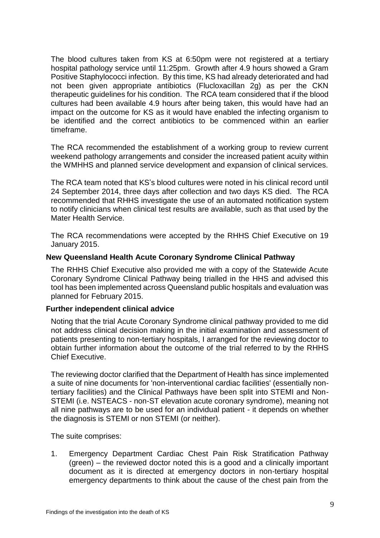The blood cultures taken from KS at 6:50pm were not registered at a tertiary hospital pathology service until 11:25pm. Growth after 4.9 hours showed a Gram Positive Staphylococci infection. By this time, KS had already deteriorated and had not been given appropriate antibiotics (Flucloxacillan 2g) as per the CKN therapeutic guidelines for his condition. The RCA team considered that if the blood cultures had been available 4.9 hours after being taken, this would have had an impact on the outcome for KS as it would have enabled the infecting organism to be identified and the correct antibiotics to be commenced within an earlier timeframe.

The RCA recommended the establishment of a working group to review current weekend pathology arrangements and consider the increased patient acuity within the WMHHS and planned service development and expansion of clinical services.

The RCA team noted that KS's blood cultures were noted in his clinical record until 24 September 2014, three days after collection and two days KS died. The RCA recommended that RHHS investigate the use of an automated notification system to notify clinicians when clinical test results are available, such as that used by the Mater Health Service.

The RCA recommendations were accepted by the RHHS Chief Executive on 19 January 2015.

# **New Queensland Health Acute Coronary Syndrome Clinical Pathway**

The RHHS Chief Executive also provided me with a copy of the Statewide Acute Coronary Syndrome Clinical Pathway being trialled in the HHS and advised this tool has been implemented across Queensland public hospitals and evaluation was planned for February 2015.

# **Further independent clinical advice**

Noting that the trial Acute Coronary Syndrome clinical pathway provided to me did not address clinical decision making in the initial examination and assessment of patients presenting to non-tertiary hospitals, I arranged for the reviewing doctor to obtain further information about the outcome of the trial referred to by the RHHS Chief Executive.

The reviewing doctor clarified that the Department of Health has since implemented a suite of nine documents for 'non-interventional cardiac facilities' (essentially nontertiary facilities) and the Clinical Pathways have been split into STEMI and Non-STEMI (i.e. NSTEACS - non-ST elevation acute coronary syndrome), meaning not all nine pathways are to be used for an individual patient - it depends on whether the diagnosis is STEMI or non STEMI (or neither).

The suite comprises:

1. Emergency Department Cardiac Chest Pain Risk Stratification Pathway (green) – the reviewed doctor noted this is a good and a clinically important document as it is directed at emergency doctors in non-tertiary hospital emergency departments to think about the cause of the chest pain from the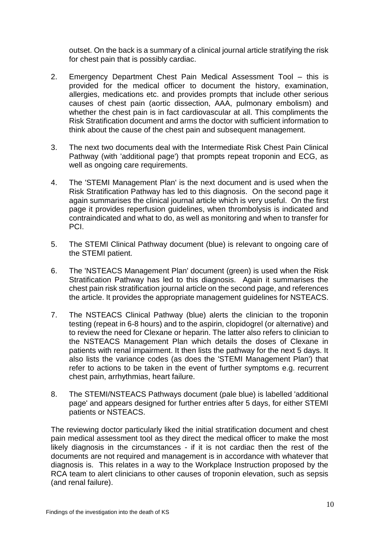outset. On the back is a summary of a clinical journal article stratifying the risk for chest pain that is possibly cardiac.

- 2. Emergency Department Chest Pain Medical Assessment Tool this is provided for the medical officer to document the history, examination, allergies, medications etc. and provides prompts that include other serious causes of chest pain (aortic dissection, AAA, pulmonary embolism) and whether the chest pain is in fact cardiovascular at all. This compliments the Risk Stratification document and arms the doctor with sufficient information to think about the cause of the chest pain and subsequent management.
- 3. The next two documents deal with the Intermediate Risk Chest Pain Clinical Pathway (with 'additional page') that prompts repeat troponin and ECG, as well as ongoing care requirements.
- 4. The 'STEMI Management Plan' is the next document and is used when the Risk Stratification Pathway has led to this diagnosis. On the second page it again summarises the clinical journal article which is very useful. On the first page it provides reperfusion guidelines, when thrombolysis is indicated and contraindicated and what to do, as well as monitoring and when to transfer for PCI.
- 5. The STEMI Clinical Pathway document (blue) is relevant to ongoing care of the STEMI patient.
- 6. The 'NSTEACS Management Plan' document (green) is used when the Risk Stratification Pathway has led to this diagnosis. Again it summarises the chest pain risk stratification journal article on the second page, and references the article. It provides the appropriate management guidelines for NSTEACS.
- 7. The NSTEACS Clinical Pathway (blue) alerts the clinician to the troponin testing (repeat in 6-8 hours) and to the aspirin, clopidogrel (or alternative) and to review the need for Clexane or heparin. The latter also refers to clinician to the NSTEACS Management Plan which details the doses of Clexane in patients with renal impairment. It then lists the pathway for the next 5 days. It also lists the variance codes (as does the 'STEMI Management Plan') that refer to actions to be taken in the event of further symptoms e.g. recurrent chest pain, arrhythmias, heart failure.
- 8. The STEMI/NSTEACS Pathways document (pale blue) is labelled 'additional page' and appears designed for further entries after 5 days, for either STEMI patients or NSTEACS.

The reviewing doctor particularly liked the initial stratification document and chest pain medical assessment tool as they direct the medical officer to make the most likely diagnosis in the circumstances - if it is not cardiac then the rest of the documents are not required and management is in accordance with whatever that diagnosis is. This relates in a way to the Workplace Instruction proposed by the RCA team to alert clinicians to other causes of troponin elevation, such as sepsis (and renal failure).